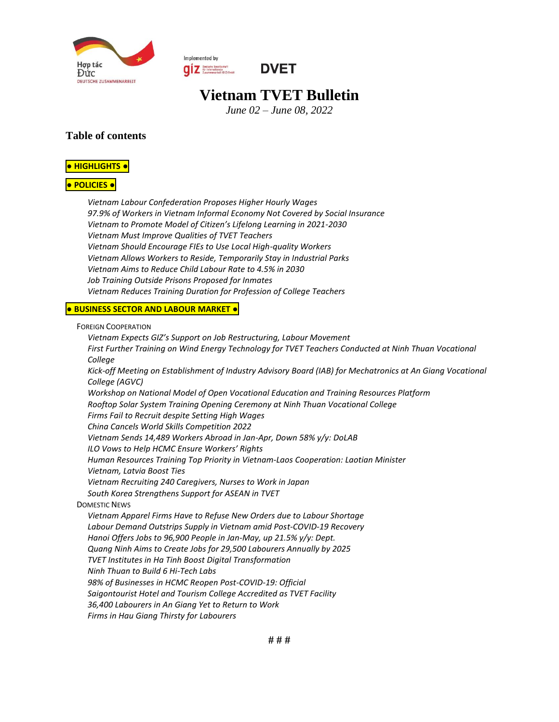

Implemented by **OUR** Deutsche Gesellschaft<br>
Eusammenarboit (GIZ) SmbH



# **Vietnam TVET Bulletin**

*June 02 – June 08, 2022*

#### **Table of contents**

#### **● [HIGHLIGHTS](#page-1-0) ●**

#### **● [POLICIES](#page-1-1) ●**

*[Vietnam Labour Confederation Proposes Higher Hourly Wages](#page-1-2) [97.9% of Workers in Vietnam Informal Economy Not Covered by Social Insurance](#page-1-3) Vietnam to Promote Mo[del of Citizen's Lifelong Learning in 2021](#page-1-4)-2030 [Vietnam Must Improve Qualities of TVET Teachers](#page-2-0) [Vietnam Should Encourage FIEs to Use Local High-quality Workers](#page-2-1) [Vietnam Allows Workers to Reside, Temporarily Stay in Industrial Parks](#page-2-2) [Vietnam Aims to Reduce Child Labour Rate to 4.5% in 2030](#page-2-3) [Job Training Outside Prisons Proposed for Inmates](#page-3-0) [Vietnam Reduces Training Duration for Profession of College Teachers](#page-3-1)*

#### **● [BUSINESS](#page-3-2) SECTOR AND LABOUR MARKET ●**

FOREIGN C[OOPERATION](#page-3-3)

*[Vietnam Expects GIZ's Support on Job Restructuring, Labour Movement](#page-3-4) [First Further Training on Wind Energy Technology for TVET Teachers Conducted at Ninh Thuan Vocational](#page-3-5)  [College](#page-3-5) [Kick-off Meeting on Establishment of Industry Advisory Board \(IAB\) for Mechatronics at An Giang Vocational](#page-4-0)  [College \(AGVC\)](#page-4-0) [Workshop on National Model of Open Vocational Education and Training Resources Platform](#page-5-0) [Rooftop Solar System Training Opening Ceremony at Ninh Thuan Vocational College](#page-6-0) [Firms Fail to Recruit despite Setting High Wages](#page-6-1) [China Cancels World Skills Competition 2022](#page-7-0) [Vietnam Sends 14,489 Workers Abroad in Jan-Apr, Down 58% y/y: DoLAB](#page-7-1) [ILO Vows to Help HCMC Ensure Workers' Rights](#page-7-2) [Human Resources Training Top Priority in Vietnam-Laos Cooperation: Laotian Minister](#page-7-3) [Vietnam, Latvia Boost Ties](#page-7-4) [Vietnam Recruiting 240 Caregivers, Nurses to Work in Japan](#page-8-0) [South Korea Strengthens Support for ASEAN in TVET](#page-8-1)* D[OMESTIC](#page-8-2) NEWS *[Vietnam Apparel Firms Have to Refuse New Orders due to Labour Shortage](#page-8-3) [Labour Demand Outstrips Supply in Vietnam amid Post-COVID-19 Recovery](#page-8-4) [Hanoi Offers Jobs to 96,900 People in Jan-May, up 21.5% y/y: Dept.](#page-9-0) [Quang Ninh Aims to Create Jobs for 29,500 Labourers Annually by 2025](#page-9-1) [TVET Institutes in Ha Tinh Boost Digital Transformation](#page-9-2) [Ninh Thuan to Build 6 Hi-Tech Labs](#page-9-3) [98% of Businesses in HCMC Reopen Post-COVID-19: Official](#page-10-0) [Saigontourist Hotel and Tourism College Accredited as TVET Facility](#page-10-1) [36,400 Labourers in An Giang Yet to Return to Work](#page-10-2) [Firms in Hau Giang Thirsty for Labourers](#page-10-3)*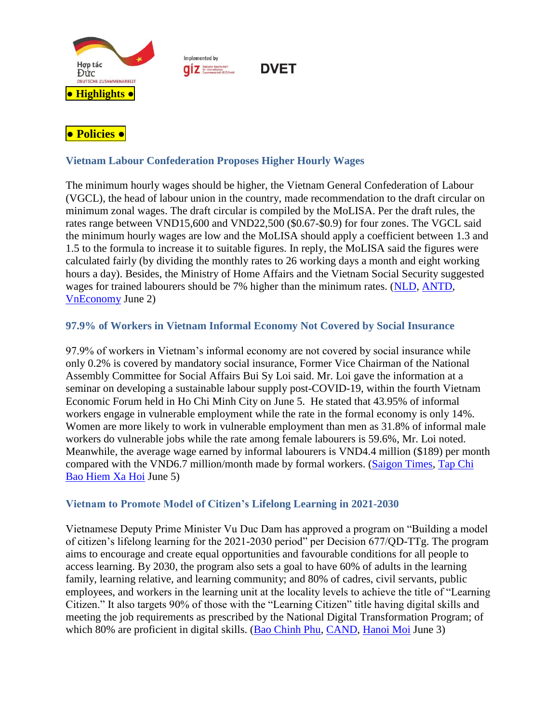

Implemented by **QIZ** Deutsche Gesellschaft

<span id="page-1-1"></span><span id="page-1-0"></span>

# <span id="page-1-2"></span>**Vietnam Labour Confederation Proposes Higher Hourly Wages**

The minimum hourly wages should be higher, the Vietnam General Confederation of Labour (VGCL), the head of labour union in the country, made recommendation to the draft circular on minimum zonal wages. The draft circular is compiled by the MoLISA. Per the draft rules, the rates range between VND15,600 and VND22,500 (\$0.67-\$0.9) for four zones. The VGCL said the minimum hourly wages are low and the MoLISA should apply a coefficient between 1.3 and 1.5 to the formula to increase it to suitable figures. In reply, the MoLISA said the figures were calculated fairly (by dividing the monthly rates to 26 working days a month and eight working hours a day). Besides, the Ministry of Home Affairs and the Vietnam Social Security suggested wages for trained labourers should be 7% higher than the minimum rates. [\(NLD,](https://nld.com.vn/cong-doan/luong-toi-thieu-gio-nen-de-xuat-cao-hon-20220601192044691.htm) [ANTD,](https://www.anninhthudo.vn/de-xuat-cong-them-he-so-vao-luong-toi-thieu-gio-post506474.antd#related) [VnEconomy](https://vneconomy.vn/de-xuat-cong-them-he-so-khi-tinh-luong-toi-thieu-gio.htm#related) June 2)

**DVET** 

# <span id="page-1-3"></span>**97.9% of Workers in Vietnam Informal Economy Not Covered by Social Insurance**

97.9% of workers in Vietnam's informal economy are not covered by social insurance while only 0.2% is covered by mandatory social insurance, Former Vice Chairman of the National Assembly Committee for Social Affairs Bui Sy Loi said. Mr. Loi gave the information at a seminar on developing a sustainable labour supply post-COVID-19, within the fourth Vietnam Economic Forum held in Ho Chi Minh City on June 5. He stated that 43.95% of informal workers engage in vulnerable employment while the rate in the formal economy is only 14%. Women are more likely to work in vulnerable employment than men as 31.8% of informal male workers do vulnerable jobs while the rate among female labourers is 59.6%, Mr. Loi noted. Meanwhile, the average wage earned by informal labourers is VND4.4 million (\$189) per month compared with the VND6.7 million/month made by formal workers. [\(Saigon Times,](https://thesaigontimes.vn/lao-dong-phi-chinh-thuc-chiu-nhieu-thiet-thoi-hon-97-khong-duoc-dong-bao-hiem-xa-hoi/) [Tap Chi](http://tapchibaohiemxahoi.gov.vn/huong-toi-tham-gia-bhxh-la-dieu-kien-bat-buoc-voi-lao-dong-phi-chinh-thuc-91848.html#related)  [Bao Hiem Xa Hoi](http://tapchibaohiemxahoi.gov.vn/huong-toi-tham-gia-bhxh-la-dieu-kien-bat-buoc-voi-lao-dong-phi-chinh-thuc-91848.html#related) June 5)

### <span id="page-1-4"></span>**Vietnam to Promote Model of Citizen's Lifelong Learning in 2021-2030**

Vietnamese Deputy Prime Minister Vu Duc Dam has approved a program on "Building a model of citizen's lifelong learning for the 2021-2030 period" per Decision 677/QD-TTg. The program aims to encourage and create equal opportunities and favourable conditions for all people to access learning. By 2030, the program also sets a goal to have 60% of adults in the learning family, learning relative, and learning community; and 80% of cadres, civil servants, public employees, and workers in the learning unit at the locality levels to achieve the title of "Learning Citizen." It also targets 90% of those with the "Learning Citizen" title having digital skills and meeting the job requirements as prescribed by the National Digital Transformation Program; of which 80% are proficient in digital skills. [\(Bao Chinh Phu,](https://baochinhphu.vn/xay-dung-mo-hinh-cong-dan-hoc-tap-giai-doan-2021-2030-10222060322550515.htm) [CAND,](https://cand.com.vn/su-kien-binh-luan-thoi-su/phe-duyet-chuong-trinh-xay-dung-mo-hinh-cong-dan-hoc-tap-giai-doan-2021-2030-i656011/#related) [Hanoi Moi](http://www.hanoimoi.com.vn/tin-tuc/Giao-duc/1033816/tao-dieu-kien-thuan-loi-cho-moi-cong-dan-trong-xa-hoi-duoc-tham-gia-hoc-tap#related) June 3)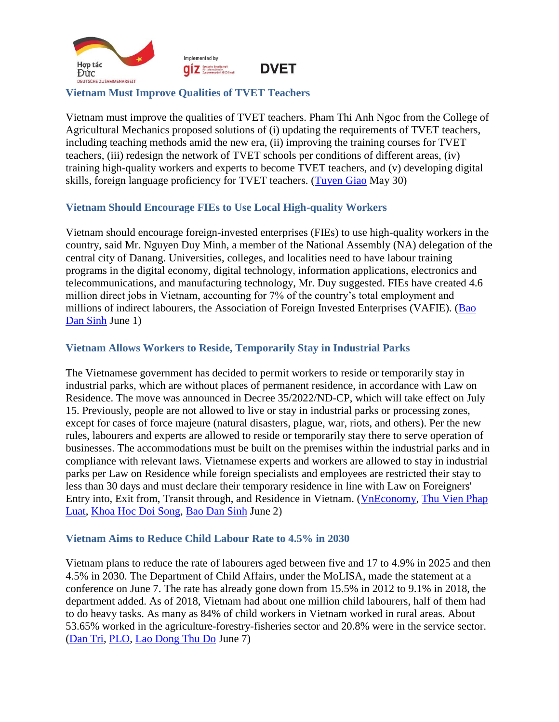

#### <span id="page-2-0"></span>**Vietnam Must Improve Qualities of TVET Teachers**

Vietnam must improve the qualities of TVET teachers. Pham Thi Anh Ngoc from the College of Agricultural Mechanics proposed solutions of (i) updating the requirements of TVET teachers, including teaching methods amid the new era, (ii) improving the training courses for TVET teachers, (iii) redesign the network of TVET schools per conditions of different areas, (iv) training high-quality workers and experts to become TVET teachers, and (v) developing digital skills, foreign language proficiency for TVET teachers. [\(Tuyen Giao](https://www.tuyengiao.vn/khoa-giao/giao-duc/nang-cao-chat-luong-doi-ngu-nha-giao-giao-duc-nghe-nghiep-tai-cac-truong-cao-dang-139063) May 30)

#### <span id="page-2-1"></span>**Vietnam Should Encourage FIEs to Use Local High-quality Workers**

Vietnam should encourage foreign-invested enterprises (FIEs) to use high-quality workers in the country, said Mr. Nguyen Duy Minh, a member of the National Assembly (NA) delegation of the central city of Danang. Universities, colleges, and localities need to have labour training programs in the digital economy, digital technology, information applications, electronics and telecommunications, and manufacturing technology, Mr. Duy suggested. FIEs have created 4.6 million direct jobs in Vietnam, accounting for 7% of the country's total employment and millions of indirect labourers, the Association of Foreign Invested Enterprises (VAFIE). [\(Bao](https://baodansinh.vn/khuyen-khich-cac-doanh-nghiep-fdi-su-dung-nguon-lao-dong-la-nguoi-viet-nam-chat-luong-cao-20220601102131.htm)  [Dan Sinh](https://baodansinh.vn/khuyen-khich-cac-doanh-nghiep-fdi-su-dung-nguon-lao-dong-la-nguoi-viet-nam-chat-luong-cao-20220601102131.htm) June 1)

#### <span id="page-2-2"></span>**Vietnam Allows Workers to Reside, Temporarily Stay in Industrial Parks**

The Vietnamese government has decided to permit workers to reside or temporarily stay in industrial parks, which are without places of permanent residence, in accordance with Law on Residence. The move was announced in Decree 35/2022/ND-CP, which will take effect on July 15. Previously, people are not allowed to live or stay in industrial parks or processing zones, except for cases of force majeure (natural disasters, plague, war, riots, and others). Per the new rules, labourers and experts are allowed to reside or temporarily stay there to serve operation of businesses. The accommodations must be built on the premises within the industrial parks and in compliance with relevant laws. Vietnamese experts and workers are allowed to stay in industrial parks per Law on Residence while foreign specialists and employees are restricted their stay to less than 30 days and must declare their temporary residence in line with Law on Foreigners' Entry into, Exit from, Transit through, and Residence in Vietnam. [\(VnEconomy,](https://vneconomy.vn/nguoi-lao-dong-duoc-tam-tru-luu-tru-trong-khu-cong-nghiep-tu-15-7.htm) [Thu Vien Phap](https://thuvienphapluat.vn/tintuc/vn/thoi-su-phap-luat/chinh-sach-moi/40861/tu-15-7-2022-cho-phep-nld-duoc-tam-tru-luu-tru-trong-khu-cong-nghiep#related)  [Luat,](https://thuvienphapluat.vn/tintuc/vn/thoi-su-phap-luat/chinh-sach-moi/40861/tu-15-7-2022-cho-phep-nld-duoc-tam-tru-luu-tru-trong-khu-cong-nghiep#related) [Khoa Hoc Doi Song,](https://khoahocdoisong.vn/tu-ngay-15-7-nguoi-lao-dong-duoc-tam-tru-trong-khu-cong-nghiep-194237.html#related) [Bao Dan Sinh](https://baodansinh.vn/cho-phep-nguoi-lao-dong-duoc-tam-tru-luu-tru-trong-khu-cong-nghiep-20220603092639.htm#related) June 2)

#### <span id="page-2-3"></span>**Vietnam Aims to Reduce Child Labour Rate to 4.5% in 2030**

Vietnam plans to reduce the rate of labourers aged between five and 17 to 4.9% in 2025 and then 4.5% in 2030. The Department of Child Affairs, under the MoLISA, made the statement at a conference on June 7. The rate has already gone down from 15.5% in 2012 to 9.1% in 2018, the department added. As of 2018, Vietnam had about one million child labourers, half of them had to do heavy tasks. As many as 84% of child workers in Vietnam worked in rural areas. About 53.65% worked in the agriculture-forestry-fisheries sector and 20.8% were in the service sector. [\(Dan Tri,](https://dantri.com.vn/an-sinh/giam-thieu-tien-toi-xoa-bo-lao-dong-tre-em-20220607123705040.htm) [PLO,](https://plo.vn/trong-dai-dich-covid-19-viet-nam-co-nguy-co-gia-tang-lao-dong-tre-em-post683497.html#related) [Lao Dong](https://laodongthudo.vn/an-sinh-xa-hoi-de-giam-lao-dong-tre-em-141227.html#related) Thu Do June 7)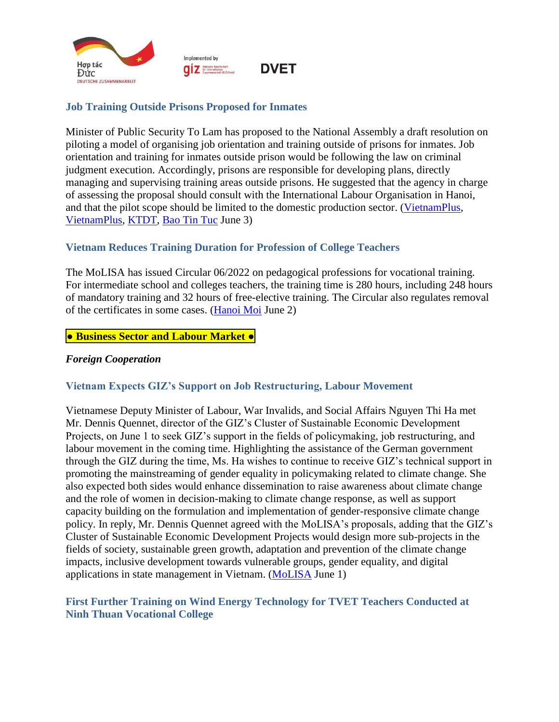

## <span id="page-3-0"></span>**Job Training Outside Prisons Proposed for Inmates**

Minister of Public Security To Lam has proposed to the National Assembly a draft resolution on piloting a model of organising job orientation and training outside of prisons for inmates. Job orientation and training for inmates outside prison would be following the law on criminal judgment execution. Accordingly, prisons are responsible for developing plans, directly managing and supervising training areas outside prisons. He suggested that the agency in charge of assessing the proposal should consult with the International Labour Organisation in Hanoi, and that the pilot scope should be limited to the domestic production sector. [\(VietnamPlus,](https://en.vietnamplus.vn/job-training-outside-prisons-proposed-for-inmates/229647.vnp) [VietnamPlus,](https://www.vietnamplus.vn/day-nghe-la-buoc-chuan-bi-de-pham-nhan-tai-hoa-nhap-cong-dong/793930.vnp) [KTDT,](https://kinhtedothi.vn/db-quoc-hoi-huong-nghiep-day-nghe-cho-pham-nhan-ngoai-trai-giam-la-can-thiet.html) [Bao Tin Tuc](https://baotintuc.vn/thoi-su/huong-nghiep-day-nghe-la-buoc-chuan-bi-de-pham-nhan-tai-hoa-nhap-cong-dong-20220603115427171.htm) June 3)

# <span id="page-3-1"></span>**Vietnam Reduces Training Duration for Profession of College Teachers**

The MoLISA has issued Circular 06/2022 on pedagogical professions for vocational training. For intermediate school and colleges teachers, the training time is 280 hours, including 248 hours of mandatory training and 32 hours of free-elective training. The Circular also regulates removal of the certificates in some cases. [\(Hanoi Moi](http://hanoimoi.com.vn/tin-tuc/Giao-duc/1033584/giam-thoi-gian-dao-tao-nghiep-vu-su-pham-day-trung-cap-cao-dang) June 2)

### <span id="page-3-2"></span>**● Business Sector and Labour Market ●**

#### <span id="page-3-3"></span>*Foreign Cooperation*

### <span id="page-3-4"></span>**Vietnam Expects GIZ's Support on Job Restructuring, Labour Movement**

Vietnamese Deputy Minister of Labour, War Invalids, and Social Affairs Nguyen Thi Ha met Mr. Dennis Quennet, director of the GIZ's Cluster of Sustainable Economic Development Projects, on June 1 to seek GIZ's support in the fields of policymaking, job restructuring, and labour movement in the coming time. Highlighting the assistance of the German government through the GIZ during the time, Ms. Ha wishes to continue to receive GIZ's technical support in promoting the mainstreaming of gender equality in policymaking related to climate change. She also expected both sides would enhance dissemination to raise awareness about climate change and the role of women in decision-making to climate change response, as well as support capacity building on the formulation and implementation of gender-responsive climate change policy. In reply, Mr. Dennis Quennet agreed with the MoLISA's proposals, adding that the GIZ's Cluster of Sustainable Economic Development Projects would design more sub-projects in the fields of society, sustainable green growth, adaptation and prevention of the climate change impacts, inclusive development towards vulnerable groups, gender equality, and digital applications in state management in Vietnam. [\(MoLISA](http://www.molisa.gov.vn/Pages/tintuc/chitiet.aspx?tintucID=231439) June 1)

#### <span id="page-3-5"></span>**First Further Training on Wind Energy Technology for TVET Teachers Conducted at Ninh Thuan Vocational College**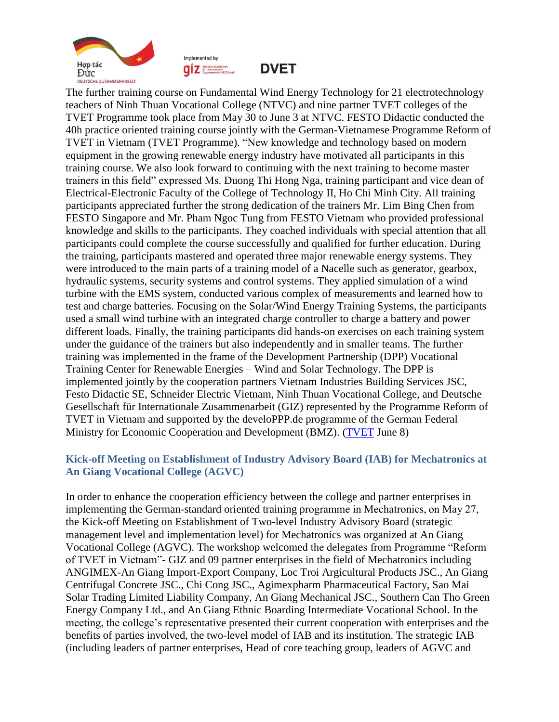



**DVET** 

The further training course on Fundamental Wind Energy Technology for 21 electrotechnology teachers of Ninh Thuan Vocational College (NTVC) and nine partner TVET colleges of the TVET Programme took place from May 30 to June 3 at NTVC. FESTO Didactic conducted the 40h practice oriented training course jointly with the German-Vietnamese Programme Reform of TVET in Vietnam (TVET Programme). "New knowledge and technology based on modern equipment in the growing renewable energy industry have motivated all participants in this training course. We also look forward to continuing with the next training to become master trainers in this field" expressed Ms. Duong Thi Hong Nga, training participant and vice dean of Electrical-Electronic Faculty of the College of Technology II, Ho Chi Minh City. All training participants appreciated further the strong dedication of the trainers Mr. Lim Bing Chen from FESTO Singapore and Mr. Pham Ngoc Tung from FESTO Vietnam who provided professional knowledge and skills to the participants. They coached individuals with special attention that all participants could complete the course successfully and qualified for further education. During the training, participants mastered and operated three major renewable energy systems. They were introduced to the main parts of a training model of a Nacelle such as generator, gearbox, hydraulic systems, security systems and control systems. They applied simulation of a wind turbine with the EMS system, conducted various complex of measurements and learned how to test and charge batteries. Focusing on the Solar/Wind Energy Training Systems, the participants used a small wind turbine with an integrated charge controller to charge a battery and power different loads. Finally, the training participants did hands-on exercises on each training system under the guidance of the trainers but also independently and in smaller teams. The further training was implemented in the frame of the Development Partnership (DPP) Vocational Training Center for Renewable Energies – Wind and Solar Technology. The DPP is implemented jointly by the cooperation partners Vietnam Industries Building Services JSC, Festo Didactic SE, Schneider Electric Vietnam, Ninh Thuan Vocational College, and Deutsche Gesellschaft für Internationale Zusammenarbeit (GIZ) represented by the Programme Reform of TVET in Vietnam and supported by the develoPPP.de programme of the German Federal Ministry for Economic Cooperation and Development (BMZ). [\(TVET](https://www.tvet-vietnam.org/archives/news/first-further-training-on-wind-energy-technology-for-tvet-teachers-conducted-at-ninh-thuan-vocational-college) June 8)

#### <span id="page-4-0"></span>**Kick-off Meeting on Establishment of Industry Advisory Board (IAB) for Mechatronics at An Giang Vocational College (AGVC)**

In order to enhance the cooperation efficiency between the college and partner enterprises in implementing the German-standard oriented training programme in Mechatronics, on May 27, the Kick-off Meeting on Establishment of Two-level Industry Advisory Board (strategic management level and implementation level) for Mechatronics was organized at An Giang Vocational College (AGVC). The workshop welcomed the delegates from Programme "Reform of TVET in Vietnam"- GIZ and 09 partner enterprises in the field of Mechatronics including ANGIMEX-An Giang Import-Export Company, Loc Troi Argicultural Products JSC., An Giang Centrifugal Concrete JSC., Chi Cong JSC., Agimexpharm Pharmaceutical Factory, Sao Mai Solar Trading Limited Liability Company, An Giang Mechanical JSC., Southern Can Tho Green Energy Company Ltd., and An Giang Ethnic Boarding Intermediate Vocational School. In the meeting, the college's representative presented their current cooperation with enterprises and the benefits of parties involved, the two-level model of IAB and its institution. The strategic IAB (including leaders of partner enterprises, Head of core teaching group, leaders of AGVC and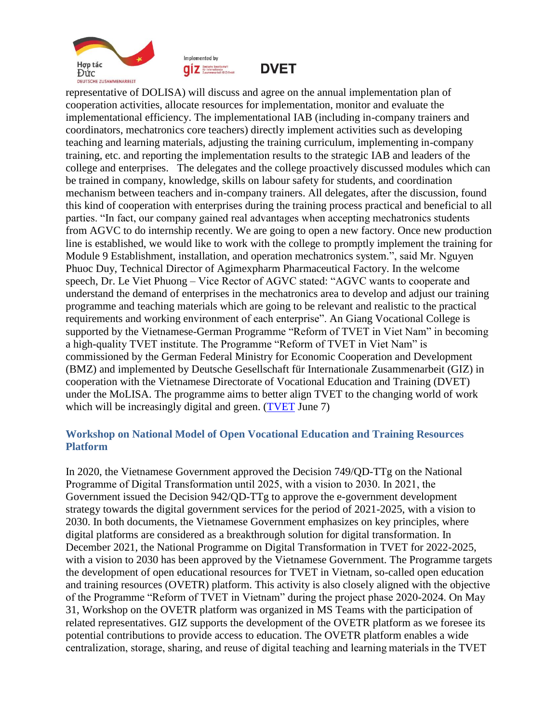



**DVET** 

representative of DOLISA) will discuss and agree on the annual implementation plan of cooperation activities, allocate resources for implementation, monitor and evaluate the implementational efficiency. The implementational IAB (including in-company trainers and coordinators, mechatronics core teachers) directly implement activities such as developing teaching and learning materials, adjusting the training curriculum, implementing in-company training, etc. and reporting the implementation results to the strategic IAB and leaders of the college and enterprises. The delegates and the college proactively discussed modules which can be trained in company, knowledge, skills on labour safety for students, and coordination mechanism between teachers and in-company trainers. All delegates, after the discussion, found this kind of cooperation with enterprises during the training process practical and beneficial to all parties. "In fact, our company gained real advantages when accepting mechatronics students from AGVC to do internship recently. We are going to open a new factory. Once new production line is established, we would like to work with the college to promptly implement the training for Module 9 Establishment, installation, and operation mechatronics system.", said Mr. Nguyen Phuoc Duy, Technical Director of Agimexpharm Pharmaceutical Factory. In the welcome speech, Dr. Le Viet Phuong – Vice Rector of AGVC stated: "AGVC wants to cooperate and understand the demand of enterprises in the mechatronics area to develop and adjust our training programme and teaching materials which are going to be relevant and realistic to the practical requirements and working environment of each enterprise". An Giang Vocational College is supported by the Vietnamese-German Programme "Reform of TVET in Viet Nam" in becoming a high-quality TVET institute. The Programme "Reform of TVET in Viet Nam" is commissioned by the German Federal Ministry for Economic Cooperation and Development (BMZ) and implemented by Deutsche Gesellschaft für Internationale Zusammenarbeit (GIZ) in cooperation with the Vietnamese Directorate of Vocational Education and Training (DVET) under the MoLISA. The programme aims to better align TVET to the changing world of work which will be increasingly digital and green. [\(TVET](https://www.tvet-vietnam.org/archives/news/kick-off-meeting-on-establishment-of-industry-advisory-board-iab-for-mechatronics-at-an-giang-vocational-college-agvc) June 7)

### <span id="page-5-0"></span>**Workshop on National Model of Open Vocational Education and Training Resources Platform**

In 2020, the Vietnamese Government approved the Decision 749/QD-TTg on the National Programme of Digital Transformation until 2025, with a vision to 2030. In 2021, the Government issued the Decision 942/QD-TTg to approve the e-government development strategy towards the digital government services for the period of 2021-2025, with a vision to 2030. In both documents, the Vietnamese Government emphasizes on key principles, where digital platforms are considered as a breakthrough solution for digital transformation. In December 2021, the National Programme on Digital Transformation in TVET for 2022-2025, with a vision to 2030 has been approved by the Vietnamese Government. The Programme targets the development of open educational resources for TVET in Vietnam, so-called open education and training resources (OVETR) platform. This activity is also closely aligned with the objective of the Programme "Reform of TVET in Vietnam" during the project phase 2020-2024. On May 31, Workshop on the OVETR platform was organized in MS Teams with the participation of related representatives. GIZ supports the development of the OVETR platform as we foresee its potential contributions to provide access to education. The OVETR platform enables a wide centralization, storage, sharing, and reuse of digital teaching and learning materials in the TVET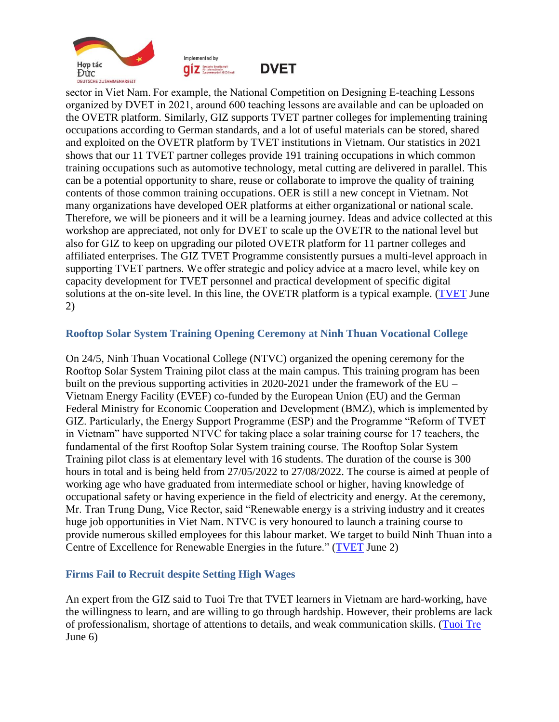



**DVET** 

sector in Viet Nam. For example, the National Competition on Designing E-teaching Lessons organized by DVET in 2021, around 600 teaching lessons are available and can be uploaded on the OVETR platform. Similarly, GIZ supports TVET partner colleges for implementing training occupations according to German standards, and a lot of useful materials can be stored, shared and exploited on the OVETR platform by TVET institutions in Vietnam. Our statistics in 2021 shows that our 11 TVET partner colleges provide 191 training occupations in which common training occupations such as automotive technology, metal cutting are delivered in parallel. This can be a potential opportunity to share, reuse or collaborate to improve the quality of training contents of those common training occupations. OER is still a new concept in Vietnam. Not many organizations have developed OER platforms at either organizational or national scale. Therefore, we will be pioneers and it will be a learning journey. Ideas and advice collected at this workshop are appreciated, not only for DVET to scale up the OVETR to the national level but also for GIZ to keep on upgrading our piloted OVETR platform for 11 partner colleges and affiliated enterprises. The GIZ TVET Programme consistently pursues a multi-level approach in supporting TVET partners. We offer strategic and policy advice at a macro level, while key on capacity development for TVET personnel and practical development of specific digital solutions at the on-site level. In this line, the OVETR platform is a typical example. [\(TVET](https://www.tvet-vietnam.org/archives/news/workshop-on-the-national-model-of-open-vocational-education-and-training-resources-platform) June 2)

#### <span id="page-6-0"></span>**Rooftop Solar System Training Opening Ceremony at Ninh Thuan Vocational College**

On 24/5, Ninh Thuan Vocational College (NTVC) organized the opening ceremony for the Rooftop Solar System Training pilot class at the main campus. This training program has been built on the previous supporting activities in 2020-2021 under the framework of the EU – Vietnam Energy Facility (EVEF) co-funded by the European Union (EU) and the German Federal Ministry for Economic Cooperation and Development (BMZ), which is implemented by GIZ. Particularly, the Energy Support Programme (ESP) and the Programme "Reform of TVET in Vietnam" have supported NTVC for taking place a solar training course for 17 teachers, the fundamental of the first Rooftop Solar System training course. The Rooftop Solar System Training pilot class is at elementary level with 16 students. The duration of the course is 300 hours in total and is being held from 27/05/2022 to 27/08/2022. The course is aimed at people of working age who have graduated from intermediate school or higher, having knowledge of occupational safety or having experience in the field of electricity and energy. At the ceremony, Mr. Tran Trung Dung, Vice Rector, said "Renewable energy is a striving industry and it creates huge job opportunities in Viet Nam. NTVC is very honoured to launch a training course to provide numerous skilled employees for this labour market. We target to build Ninh Thuan into a Centre of Excellence for Renewable Energies in the future." [\(TVET](https://www.tvet-vietnam.org/archives/news/rooftop-solar-system-training-opening-ceremony-at-ninh-thuan-vocational-college) June 2)

### <span id="page-6-1"></span>**Firms Fail to Recruit despite Setting High Wages**

An expert from the GIZ said to Tuoi Tre that TVET learners in Vietnam are hard-working, have the willingness to learn, and are willing to go through hardship. However, their problems are lack of professionalism, shortage of attentions to details, and weak communication skills. [\(Tuoi Tre](https://tuoitre.vn/doanh-nghiep-ngoai-khat-nhan-luc-luong-41-trieu-dong-thang-van-kho-kiem-nguoi-20220606094750634.htm) June 6)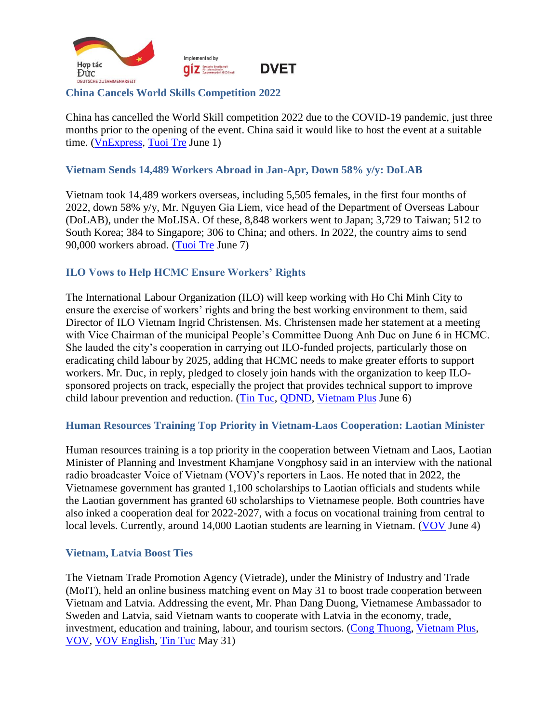

#### <span id="page-7-0"></span>**China Cancels World Skills Competition 2022**

China has cancelled the World Skill competition 2022 due to the COVID-19 pandemic, just three months prior to the opening of the event. China said it would like to host the event at a suitable time. [\(VnExpress,](https://vnexpress.net/huy-thi-tay-nghe-the-gioi-vi-chinh-sach-chong-dich-cua-trung-quoc-4470453.html) [Tuoi Tre](https://tuoitre.vn/huy-ky-thi-tay-nghe-the-gioi-2022-tai-trung-quoc-20220601164840444.htm) June 1)

#### <span id="page-7-1"></span>**Vietnam Sends 14,489 Workers Abroad in Jan-Apr, Down 58% y/y: DoLAB**

Vietnam took 14,489 workers overseas, including 5,505 females, in the first four months of 2022, down 58% y/y, Mr. Nguyen Gia Liem, vice head of the Department of Overseas Labour (DoLAB), under the MoLISA. Of these, 8,848 workers went to Japan; 3,729 to Taiwan; 512 to South Korea; 384 to Singapore; 306 to China; and others. In 2022, the country aims to send 90,000 workers abroad. [\(Tuoi Tre](https://tuoitre.vn/xuat-khau-lao-dong-can-lam-gi-de-co-thu-nhap-cao-20220606230852897.htm) June 7)

### <span id="page-7-2"></span>**ILO Vows to Help HCMC Ensure Workers' Rights**

The International Labour Organization (ILO) will keep working with Ho Chi Minh City to ensure the exercise of workers' rights and bring the best working environment to them, said Director of ILO Vietnam Ingrid Christensen. Ms. Christensen made her statement at a meeting with Vice Chairman of the municipal People's Committee Duong Anh Duc on June 6 in HCMC. She lauded the city's cooperation in carrying out ILO-funded projects, particularly those on eradicating child labour by 2025, adding that HCMC needs to make greater efforts to support workers. Mr. Duc, in reply, pledged to closely join hands with the organization to keep ILOsponsored projects on track, especially the project that provides technical support to improve child labour prevention and reduction. [\(Tin Tuc,](https://baotintuc.vn/thoi-su/lanh-dao-tp-ho-chi-minh-tiep-giam-doc-van-phong-ilo-tai-viet-nam-20220606183327624.htm) [QDND,](https://www.qdnd.vn/xa-hoi/tin-tuc/lanh-dao-tp-ho-chi-minh-tiep-giam-doc-van-phong-ilo-tai-viet-nam-696601#related) [Vietnam Plus](https://www.vietnamplus.vn/lanh-dao-thanh-pho-ho-chi-minh-tiep-giam-doc-ilo-tai-viet-nam/794440.vnp#related) June 6)

#### <span id="page-7-3"></span>**Human Resources Training Top Priority in Vietnam-Laos Cooperation: Laotian Minister**

Human resources training is a top priority in the cooperation between Vietnam and Laos, Laotian Minister of Planning and Investment Khamjane Vongphosy said in an interview with the national radio broadcaster Voice of Vietnam (VOV)'s reporters in Laos. He noted that in 2022, the Vietnamese government has granted 1,100 scholarships to Laotian officials and students while the Laotian government has granted 60 scholarships to Vietnamese people. Both countries have also inked a cooperation deal for 2022-2027, with a focus on vocational training from central to local levels. Currently, around 14,000 Laotian students are learning in Vietnam. [\(VOV](https://vov.vn/chinh-tri/hop-tac-dao-tao-nguon-nhan-luc-la-uu-tien-hang-dau-trong-quan-he-viet-nam-lao-post948195.vov) June 4)

#### <span id="page-7-4"></span>**Vietnam, Latvia Boost Ties**

The Vietnam Trade Promotion Agency (Vietrade), under the Ministry of Industry and Trade (MoIT), held an online business matching event on May 31 to boost trade cooperation between Vietnam and Latvia. Addressing the event, Mr. Phan Dang Duong, Vietnamese Ambassador to Sweden and Latvia, said Vietnam wants to cooperate with Latvia in the economy, trade, investment, education and training, labour, and tourism sectors. [\(Cong Thuong,](https://congthuong.vn/giao-thuong-truc-tuyen-ket-noi-doanh-nghiep-viet-nam-latvia-179160.html) [Vietnam Plus,](https://www.vietnamplus.vn/co-hoi-gia-tang-xuat-khau-hang-hoa-sang-thi-truong-latvia/793342.vnp#related) [VOV,](https://vov.vn/kinh-te/dat-dau-moc-quan-trong-cho-quan-he-thuong-mai-viet-nam-latvia-post947424.vov#related) [VOV English,](https://english.vov.vn/en/economy/online-forum-connects-vietnamese-and-latvian-businesses-post947387.vov#related) [Tin Tuc](https://baotintuc.vn/kinh-te/cohoi-gia-tang-xuat-khau-sang-thi-truong-latvia-20220531172735815.htm#related) May 31)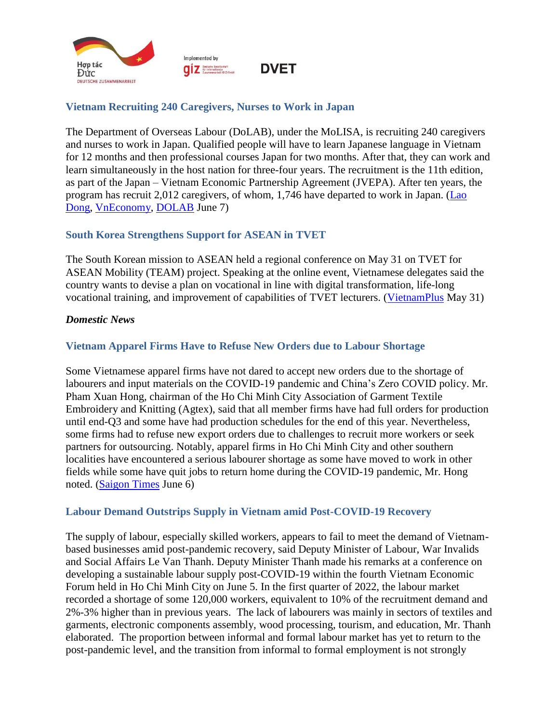

## <span id="page-8-0"></span>**Vietnam Recruiting 240 Caregivers, Nurses to Work in Japan**

The Department of Overseas Labour (DoLAB), under the MoLISA, is recruiting 240 caregivers and nurses to work in Japan. Qualified people will have to learn Japanese language in Vietnam for 12 months and then professional courses Japan for two months. After that, they can work and learn simultaneously in the host nation for three-four years. The recruitment is the 11th edition, as part of the Japan – Vietnam Economic Partnership Agreement (JVEPA). After ten years, the program has recruit 2,012 caregivers, of whom, 1,746 have departed to work in Japan. [\(Lao](https://laodong.vn/cong-doan/chi-tiet-muc-luong-dieu-duong-ho-ly-viet-nam-lam-viec-tai-nhat-ban-1053578.ldo)  [Dong,](https://laodong.vn/cong-doan/chi-tiet-muc-luong-dieu-duong-ho-ly-viet-nam-lam-viec-tai-nhat-ban-1053578.ldo) [VnEconomy,](https://vneconomy.vn/da-dua-hon-1-700-dieu-duong-ho-ly-sang-nhat-ban-lam-viec.htm#related) [DOLAB](http://www.dolab.gov.vn/New/View2.aspx?Key=7262#related) June 7)

### <span id="page-8-1"></span>**South Korea Strengthens Support for ASEAN in TVET**

The South Korean mission to ASEAN held a regional conference on May 31 on TVET for ASEAN Mobility (TEAM) project. Speaking at the online event, Vietnamese delegates said the country wants to devise a plan on vocational in line with digital transformation, life-long vocational training, and improvement of capabilities of TVET lecturers. [\(VietnamPlus](https://www.vietnamplus.vn/han-quoc-thuc-day-hop-tac-ho-tro-dao-tao-nghe-ky-thuat-cho-asean/793353.vnp) May 31)

#### <span id="page-8-2"></span>*Domestic News*

### <span id="page-8-3"></span>**Vietnam Apparel Firms Have to Refuse New Orders due to Labour Shortage**

Some Vietnamese apparel firms have not dared to accept new orders due to the shortage of labourers and input materials on the COVID-19 pandemic and China's Zero COVID policy. Mr. Pham Xuan Hong, chairman of the Ho Chi Minh City Association of Garment Textile Embroidery and Knitting (Agtex), said that all member firms have had full orders for production until end-Q3 and some have had production schedules for the end of this year. Nevertheless, some firms had to refuse new export orders due to challenges to recruit more workers or seek partners for outsourcing. Notably, apparel firms in Ho Chi Minh City and other southern localities have encountered a serious labourer shortage as some have moved to work in other fields while some have quit jobs to return home during the COVID-19 pandemic, Mr. Hong noted. [\(Saigon Times](https://thesaigontimes.vn/doanh-nghiep-may-mac-khong-dam-nhan-them-don-hang-vi-thieu-lao-dong/) June 6)

#### <span id="page-8-4"></span>**Labour Demand Outstrips Supply in Vietnam amid Post-COVID-19 Recovery**

The supply of labour, especially skilled workers, appears to fail to meet the demand of Vietnambased businesses amid post-pandemic recovery, said Deputy Minister of Labour, War Invalids and Social Affairs Le Van Thanh. Deputy Minister Thanh made his remarks at a conference on developing a sustainable labour supply post-COVID-19 within the fourth Vietnam Economic Forum held in Ho Chi Minh City on June 5. In the first quarter of 2022, the labour market recorded a shortage of some 120,000 workers, equivalent to 10% of the recruitment demand and 2%-3% higher than in previous years. The lack of labourers was mainly in sectors of textiles and garments, electronic components assembly, wood processing, tourism, and education, Mr. Thanh elaborated. The proportion between informal and formal labour market has yet to return to the post-pandemic level, and the transition from informal to formal employment is not strongly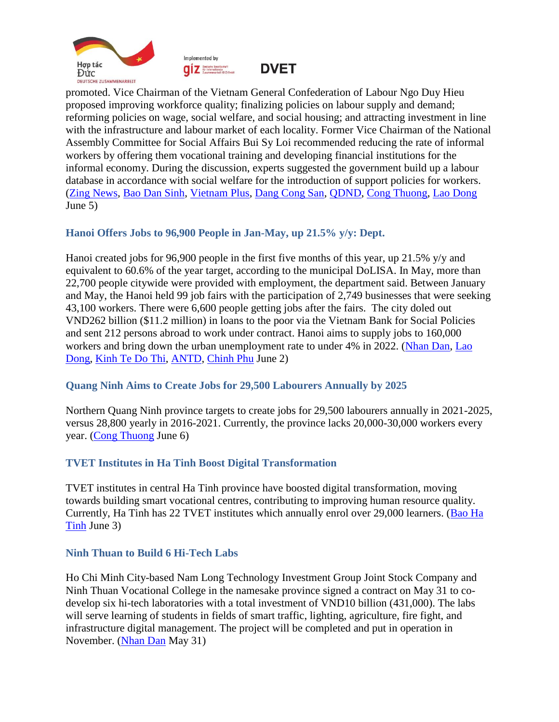





promoted. Vice Chairman of the Vietnam General Confederation of Labour Ngo Duy Hieu proposed improving workforce quality; finalizing policies on labour supply and demand; reforming policies on wage, social welfare, and social housing; and attracting investment in line with the infrastructure and labour market of each locality. Former Vice Chairman of the National Assembly Committee for Social Affairs Bui Sy Loi recommended reducing the rate of informal workers by offering them vocational training and developing financial institutions for the informal economy. During the discussion, experts suggested the government build up a labour database in accordance with social welfare for the introduction of support policies for workers. [\(Zing News,](https://zingnews.vn/cung-lao-dong-dang-thieu-cuc-bo-post1323728.html) [Bao Dan Sinh,](https://baodansinh.vn/phat-trien-chuoi-cung-ung-lao-dong-on-dinh-sau-dai-dich-covid-19-20220605225944.htm#related) [Vietnam Plus,](https://www.vietnamplus.vn/chien-luoc-dong-bo-phuc-hoi-chuoi-cung-ung-lao-dong-sau-dich-covid19/794257.vnp#related) [Dang Cong San,](https://dangcongsan.vn/kinh-te/phat-trien-chuoi-cung-ung-lao-dong-on-dinh-sau-dai-dich-covid-19-611487.html#related) [QDND,](https://www.qdnd.vn/xa-hoi/tin-tuc/phat-trien-chuoi-cung-ung-lao-dong-on-dinh-sau-dai-dich-covid-19-696497#related) [Cong Thuong,](https://congthuong.vn/ban-giai-phap-phat-trien-chuoi-cung-ung-lao-dong-sau-dai-dich-179588.html#related) [Lao Dong](https://laodong.vn/cong-doan/han-che-cua-thi-truong-lao-dong-boc-lo-ro-net-hon-sau-dai-dich-covid-19-1052872.ldo#related) June 5)

### <span id="page-9-0"></span>**Hanoi Offers Jobs to 96,900 People in Jan-May, up 21.5% y/y: Dept.**

Hanoi created jobs for 96,900 people in the first five months of this year, up 21.5% y/y and equivalent to 60.6% of the year target, according to the municipal DoLISA. In May, more than 22,700 people citywide were provided with employment, the department said. Between January and May, the Hanoi held 99 job fairs with the participation of 2,749 businesses that were seeking 43,100 workers. There were 6,600 people getting jobs after the fairs. The city doled out VND262 billion (\$11.2 million) in loans to the poor via the Vietnam Bank for Social Policies and sent 212 persons abroad to work under contract. Hanoi aims to supply jobs to 160,000 workers and bring down the urban unemployment rate to under 4% in 2022. [\(Nhan Dan,](https://nhandan.vn/tranghanoi-tin-chung/ha-noi-giai-quyet-viec-lam-cho-gan-97-nghin-lao-dong-699765/) [Lao](https://laodong.vn/cong-doan/ha-noi-gan-70000-lao-dong-duoc-giai-quyet-viec-lam-1052210.ldo#related)  [Dong,](https://laodong.vn/cong-doan/ha-noi-gan-70000-lao-dong-duoc-giai-quyet-viec-lam-1052210.ldo#related) [Kinh Te Do Thi,](https://kinhtedothi.vn/thanh-pho-ha-noi-da-giai-quyet-viec-lam-cho-96-900-nguoi-lao-dong.html#related) [ANTD,](https://www.anninhthudo.vn/ha-noi-giai-quyet-viec-lam-cho-gan-97-000-nguoi-lao-dong-post506525.antd#related) [Chinh Phu](https://thanglong.chinhphu.vn/hon-227-nghin-lao-dong-duoc-giai-quyet-viec-lam-trong-thang-5-103220530174533638.htm#related) June 2)

### <span id="page-9-1"></span>**Quang Ninh Aims to Create Jobs for 29,500 Labourers Annually by 2025**

Northern Quang Ninh province targets to create jobs for 29,500 labourers annually in 2021-2025, versus 28,800 yearly in 2016-2021. Currently, the province lacks 20,000-30,000 workers every year. [\(Cong Thuong](https://congthuong.vn/tinh-quang-ninh-lap-khoang-trong-trong-thieu-hut-lao-dong-179683.html) June 6)

### <span id="page-9-2"></span>**TVET Institutes in Ha Tinh Boost Digital Transformation**

TVET institutes in central Ha Tinh province have boosted digital transformation, moving towards building smart vocational centres, contributing to improving human resource quality. Currently, Ha Tinh has 22 TVET institutes which annually enrol over 29,000 learners. [\(Bao Ha](https://baohatinh.vn/giao-duc/cac-co-so-giao-duc-nghe-nghiep-o-ha-tinh-chuyen-doi-so-nang-cao-chat-luong-dao-tao/232674.htm)  [Tinh](https://baohatinh.vn/giao-duc/cac-co-so-giao-duc-nghe-nghiep-o-ha-tinh-chuyen-doi-so-nang-cao-chat-luong-dao-tao/232674.htm) June 3)

### <span id="page-9-3"></span>**Ninh Thuan to Build 6 Hi-Tech Labs**

Ho Chi Minh City-based Nam Long Technology Investment Group Joint Stock Company and Ninh Thuan Vocational College in the namesake province signed a contract on May 31 to codevelop six hi-tech laboratories with a total investment of VND10 billion (431,000). The labs will serve learning of students in fields of smart traffic, lighting, agriculture, fire fight, and infrastructure digital management. The project will be completed and put in operation in November. [\(Nhan Dan](https://nhandan.vn/khoahoc-congnghe/xay-dung-6-phong-thi-nghiem-thuc-hanh-cong-nghe-cao-tai-ninh-thuan-699466/) May 31)